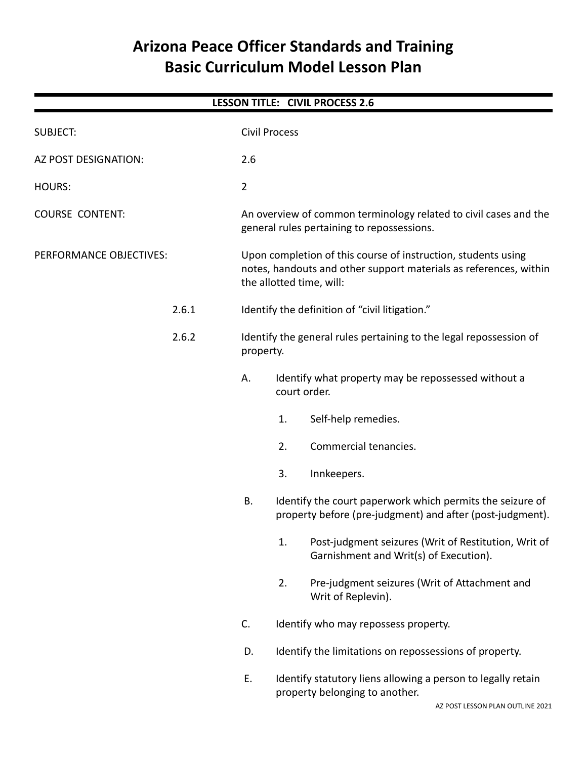# **Arizona Peace Officer Standards and Training Basic Curriculum Model Lesson Plan**

| <b>LESSON TITLE: CIVIL PROCESS 2.6</b> |                                                         |                |                                                                                                                                                                |  |  |  |  |
|----------------------------------------|---------------------------------------------------------|----------------|----------------------------------------------------------------------------------------------------------------------------------------------------------------|--|--|--|--|
| <b>SUBJECT:</b>                        |                                                         |                | <b>Civil Process</b>                                                                                                                                           |  |  |  |  |
| AZ POST DESIGNATION:                   |                                                         | 2.6            |                                                                                                                                                                |  |  |  |  |
| <b>HOURS:</b>                          |                                                         | $\overline{2}$ |                                                                                                                                                                |  |  |  |  |
| <b>COURSE CONTENT:</b>                 |                                                         |                | An overview of common terminology related to civil cases and the<br>general rules pertaining to repossessions.                                                 |  |  |  |  |
| PERFORMANCE OBJECTIVES:                |                                                         |                | Upon completion of this course of instruction, students using<br>notes, handouts and other support materials as references, within<br>the allotted time, will: |  |  |  |  |
|                                        | 2.6.1<br>Identify the definition of "civil litigation." |                |                                                                                                                                                                |  |  |  |  |
|                                        | 2.6.2                                                   |                | Identify the general rules pertaining to the legal repossession of<br>property.                                                                                |  |  |  |  |
|                                        |                                                         | А.             | Identify what property may be repossessed without a<br>court order.                                                                                            |  |  |  |  |
|                                        |                                                         |                | Self-help remedies.<br>1.                                                                                                                                      |  |  |  |  |
|                                        |                                                         |                | Commercial tenancies.<br>2.                                                                                                                                    |  |  |  |  |
|                                        |                                                         |                | 3.<br>Innkeepers.                                                                                                                                              |  |  |  |  |
|                                        |                                                         | В.             | Identify the court paperwork which permits the seizure of<br>property before (pre-judgment) and after (post-judgment).                                         |  |  |  |  |
|                                        |                                                         |                | Post-judgment seizures (Writ of Restitution, Writ of<br>1.<br>Garnishment and Writ(s) of Execution).                                                           |  |  |  |  |
|                                        |                                                         |                | 2.<br>Pre-judgment seizures (Writ of Attachment and<br>Writ of Replevin).                                                                                      |  |  |  |  |
|                                        |                                                         | C.             | Identify who may repossess property.                                                                                                                           |  |  |  |  |
|                                        |                                                         | D.             | Identify the limitations on repossessions of property.                                                                                                         |  |  |  |  |
|                                        |                                                         | Ε.             | Identify statutory liens allowing a person to legally retain<br>property belonging to another.                                                                 |  |  |  |  |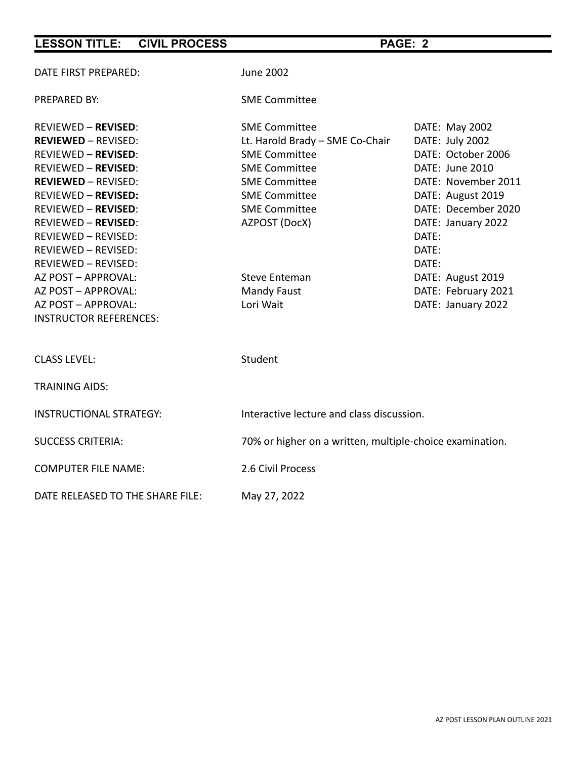| <b>CIVIL PROCESS</b><br><b>LESSON TITLE:</b>                                                                                                                                                                                                                                                                                                                                                                            |                                                                                                                                                                                                                                                             | PAGE: 2                                                                                                                                                                                                                                                          |  |
|-------------------------------------------------------------------------------------------------------------------------------------------------------------------------------------------------------------------------------------------------------------------------------------------------------------------------------------------------------------------------------------------------------------------------|-------------------------------------------------------------------------------------------------------------------------------------------------------------------------------------------------------------------------------------------------------------|------------------------------------------------------------------------------------------------------------------------------------------------------------------------------------------------------------------------------------------------------------------|--|
| DATE FIRST PREPARED:                                                                                                                                                                                                                                                                                                                                                                                                    | <b>June 2002</b>                                                                                                                                                                                                                                            |                                                                                                                                                                                                                                                                  |  |
| PREPARED BY:                                                                                                                                                                                                                                                                                                                                                                                                            | <b>SME Committee</b>                                                                                                                                                                                                                                        |                                                                                                                                                                                                                                                                  |  |
| <b>REVIEWED - REVISED:</b><br><b>REVIEWED - REVISED:</b><br><b>REVIEWED - REVISED:</b><br><b>REVIEWED - REVISED:</b><br><b>REVIEWED - REVISED:</b><br><b>REVIEWED - REVISED:</b><br><b>REVIEWED - REVISED:</b><br><b>REVIEWED - REVISED:</b><br>REVIEWED - REVISED:<br>REVIEWED - REVISED:<br>REVIEWED - REVISED:<br>AZ POST - APPROVAL:<br>AZ POST - APPROVAL:<br>AZ POST - APPROVAL:<br><b>INSTRUCTOR REFERENCES:</b> | <b>SME Committee</b><br>Lt. Harold Brady - SME Co-Chair<br><b>SME Committee</b><br><b>SME Committee</b><br><b>SME Committee</b><br><b>SME Committee</b><br><b>SME Committee</b><br>AZPOST (DocX)<br><b>Steve Enteman</b><br><b>Mandy Faust</b><br>Lori Wait | DATE: May 2002<br>DATE: July 2002<br>DATE: October 2006<br>DATE: June 2010<br>DATE: November 2011<br>DATE: August 2019<br>DATE: December 2020<br>DATE: January 2022<br>DATE:<br>DATE:<br>DATE:<br>DATE: August 2019<br>DATE: February 2021<br>DATE: January 2022 |  |
| <b>CLASS LEVEL:</b>                                                                                                                                                                                                                                                                                                                                                                                                     | Student                                                                                                                                                                                                                                                     |                                                                                                                                                                                                                                                                  |  |
| <b>TRAINING AIDS:</b>                                                                                                                                                                                                                                                                                                                                                                                                   |                                                                                                                                                                                                                                                             |                                                                                                                                                                                                                                                                  |  |
| <b>INSTRUCTIONAL STRATEGY:</b>                                                                                                                                                                                                                                                                                                                                                                                          | Interactive lecture and class discussion.                                                                                                                                                                                                                   |                                                                                                                                                                                                                                                                  |  |
| <b>SUCCESS CRITERIA:</b>                                                                                                                                                                                                                                                                                                                                                                                                | 70% or higher on a written, multiple-choice examination.                                                                                                                                                                                                    |                                                                                                                                                                                                                                                                  |  |
| <b>COMPUTER FILE NAME:</b>                                                                                                                                                                                                                                                                                                                                                                                              | 2.6 Civil Process                                                                                                                                                                                                                                           |                                                                                                                                                                                                                                                                  |  |
| DATE RELEASED TO THE SHARE FILE:                                                                                                                                                                                                                                                                                                                                                                                        | May 27, 2022                                                                                                                                                                                                                                                |                                                                                                                                                                                                                                                                  |  |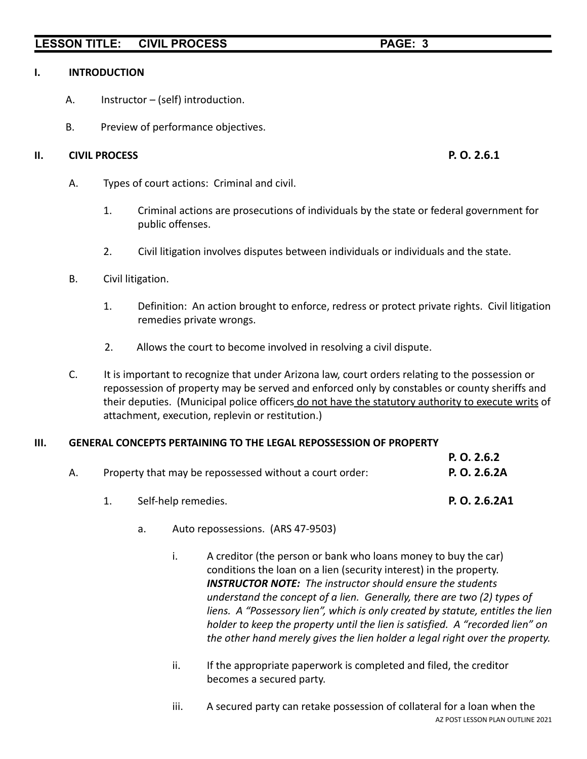### **I. INTRODUCTION**

- A. Instructor (self) introduction.
- B. Preview of performance objectives.

### **II. CIVIL PROCESS P. O. 2.6.1**

- A. Types of court actions: Criminal and civil.
	- 1. Criminal actions are prosecutions of individuals by the state or federal government for public offenses.
	- 2. Civil litigation involves disputes between individuals or individuals and the state.
- B. Civil litigation.
	- 1. Definition: An action brought to enforce, redress or protect private rights. Civil litigation remedies private wrongs.
	- 2. Allows the court to become involved in resolving a civil dispute.
- C. It is important to recognize that under Arizona law, court orders relating to the possession or repossession of property may be served and enforced only by constables or county sheriffs and their deputies. (Municipal police officers do not have the statutory authority to execute writs of attachment, execution, replevin or restitution.)

## **III. GENERAL CONCEPTS PERTAINING TO THE LEGAL REPOSSESSION OF PROPERTY**

|    |                                                         | P. Q. 2.6.2   |  |
|----|---------------------------------------------------------|---------------|--|
| А. | Property that may be repossessed without a court order: | P. O. 2.6.2A  |  |
|    | Self-help remedies.                                     | P. O. 2.6.2A1 |  |

- a. Auto repossessions. (ARS 47-9503)
	- i. A creditor (the person or bank who loans money to buy the car) conditions the loan on a lien (security interest) in the property. *INSTRUCTOR NOTE: The instructor should ensure the students understand the concept of a lien. Generally, there are two (2) types of liens. A "Possessory lien", which is only created by statute, entitles the lien holder to keep the property until the lien is satisfied. A "recorded lien" on the other hand merely gives the lien holder a legal right over the property.*
	- ii. If the appropriate paperwork is completed and filed, the creditor becomes a secured party.
	- iii. A secured party can retake possession of collateral for a loan when the AZ POST LESSON PLAN OUTLINE 2021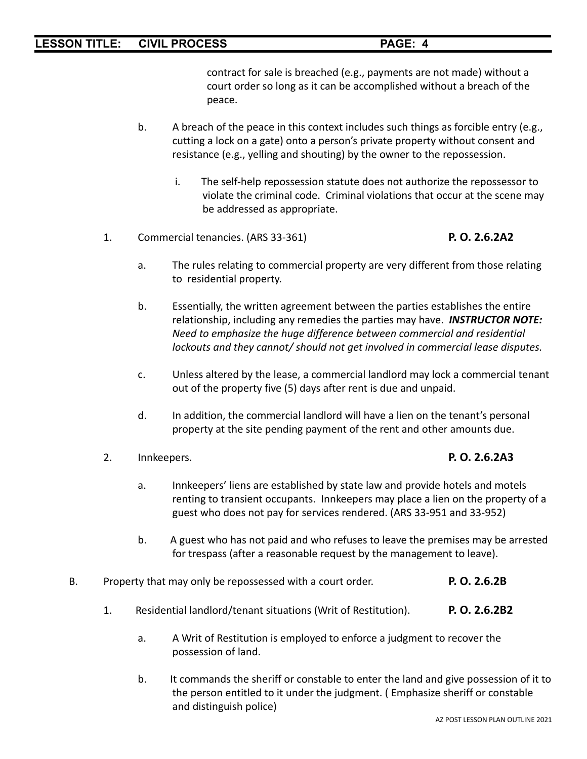contract for sale is breached (e.g., payments are not made) without a court order so long as it can be accomplished without a breach of the peace.

- b. A breach of the peace in this context includes such things as forcible entry (e.g., cutting a lock on a gate) onto a person's private property without consent and resistance (e.g., yelling and shouting) by the owner to the repossession.
	- i. The self-help repossession statute does not authorize the repossessor to violate the criminal code. Criminal violations that occur at the scene may be addressed as appropriate.
- 1. Commercial tenancies. (ARS 33-361) **P. O. 2.6.2A2**
	-
	- a. The rules relating to commercial property are very different from those relating to residential property.
	- b. Essentially, the written agreement between the parties establishes the entire relationship, including any remedies the parties may have. *INSTRUCTOR NOTE: Need to emphasize the huge difference between commercial and residential lockouts and they cannot/ should not get involved in commercial lease disputes.*
	- c. Unless altered by the lease, a commercial landlord may lock a commercial tenant out of the property five (5) days after rent is due and unpaid.
	- d. In addition, the commercial landlord will have a lien on the tenant's personal property at the site pending payment of the rent and other amounts due.
- 2. Innkeepers. **P. O. 2.6.2A3**
	- a. Innkeepers' liens are established by state law and provide hotels and motels renting to transient occupants. Innkeepers may place a lien on the property of a guest who does not pay for services rendered. (ARS 33-951 and 33-952)
	- b. A guest who has not paid and who refuses to leave the premises may be arrested for trespass (after a reasonable request by the management to leave).
- B. Property that may only be repossessed with a court order. **P. O. 2.6.2B**
	- 1. Residential landlord/tenant situations (Writ of Restitution). **P. O. 2.6.2B2**
		- a. A Writ of Restitution is employed to enforce a judgment to recover the possession of land.
		- b. It commands the sheriff or constable to enter the land and give possession of it to the person entitled to it under the judgment. ( Emphasize sheriff or constable and distinguish police)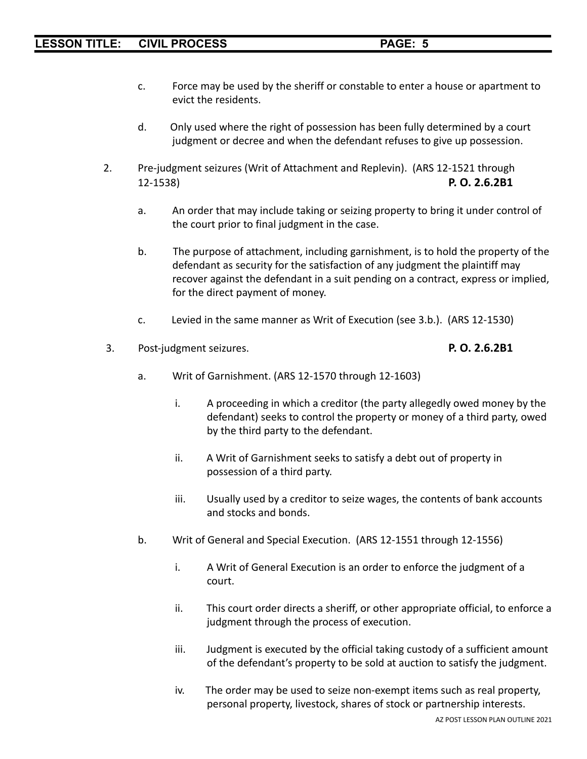- c. Force may be used by the sheriff or constable to enter a house or apartment to evict the residents.
- d. Only used where the right of possession has been fully determined by a court judgment or decree and when the defendant refuses to give up possession.
- 2. Pre-judgment seizures (Writ of Attachment and Replevin). (ARS 12-1521 through 12-1538) **P. O. 2.6.2B1**
	- a. An order that may include taking or seizing property to bring it under control of the court prior to final judgment in the case.
	- b. The purpose of attachment, including garnishment, is to hold the property of the defendant as security for the satisfaction of any judgment the plaintiff may recover against the defendant in a suit pending on a contract, express or implied, for the direct payment of money.
	- c. Levied in the same manner as Writ of Execution (see 3.b.). (ARS 12-1530)
- 3. Post-judgment seizures. **P. O. 2.6.2B1**

- a. Writ of Garnishment. (ARS 12-1570 through 12-1603)
	- i. A proceeding in which a creditor (the party allegedly owed money by the defendant) seeks to control the property or money of a third party, owed by the third party to the defendant.
	- ii. A Writ of Garnishment seeks to satisfy a debt out of property in possession of a third party.
	- iii. Usually used by a creditor to seize wages, the contents of bank accounts and stocks and bonds.
- b. Writ of General and Special Execution. (ARS 12-1551 through 12-1556)
	- i. A Writ of General Execution is an order to enforce the judgment of a court.
	- ii. This court order directs a sheriff, or other appropriate official, to enforce a judgment through the process of execution.
	- iii. Judgment is executed by the official taking custody of a sufficient amount of the defendant's property to be sold at auction to satisfy the judgment.
	- iv. The order may be used to seize non-exempt items such as real property, personal property, livestock, shares of stock or partnership interests.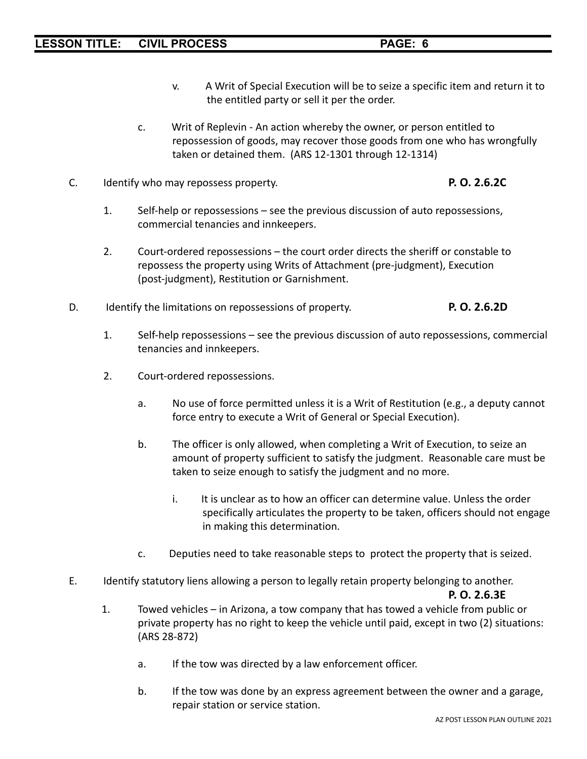- v. A Writ of Special Execution will be to seize a specific item and return it to the entitled party or sell it per the order.
- c. Writ of Replevin An action whereby the owner, or person entitled to repossession of goods, may recover those goods from one who has wrongfully taken or detained them. (ARS 12-1301 through 12-1314)
- C. Identify who may repossess property. **P. O. 2.6.2C**
	- 1. Self-help or repossessions see the previous discussion of auto repossessions, commercial tenancies and innkeepers.
	- 2. Court-ordered repossessions the court order directs the sheriff or constable to repossess the property using Writs of Attachment (pre-judgment), Execution (post-judgment), Restitution or Garnishment.
- D. Identify the limitations on repossessions of property. **P. O. 2.6.2D**
	- 1. Self-help repossessions see the previous discussion of auto repossessions, commercial tenancies and innkeepers.
	- 2. Court-ordered repossessions.
		- a. No use of force permitted unless it is a Writ of Restitution (e.g., a deputy cannot force entry to execute a Writ of General or Special Execution).
		- b. The officer is only allowed, when completing a Writ of Execution, to seize an amount of property sufficient to satisfy the judgment. Reasonable care must be taken to seize enough to satisfy the judgment and no more.
			- i. It is unclear as to how an officer can determine value. Unless the order specifically articulates the property to be taken, officers should not engage in making this determination.
		- c. Deputies need to take reasonable steps to protect the property that is seized.
- E. Identify statutory liens allowing a person to legally retain property belonging to another.

## **P. O. 2.6.3E**

- 1. Towed vehicles in Arizona, a tow company that has towed a vehicle from public or private property has no right to keep the vehicle until paid, except in two (2) situations: (ARS 28-872)
	- a. If the tow was directed by a law enforcement officer.
	- b. If the tow was done by an express agreement between the owner and a garage, repair station or service station.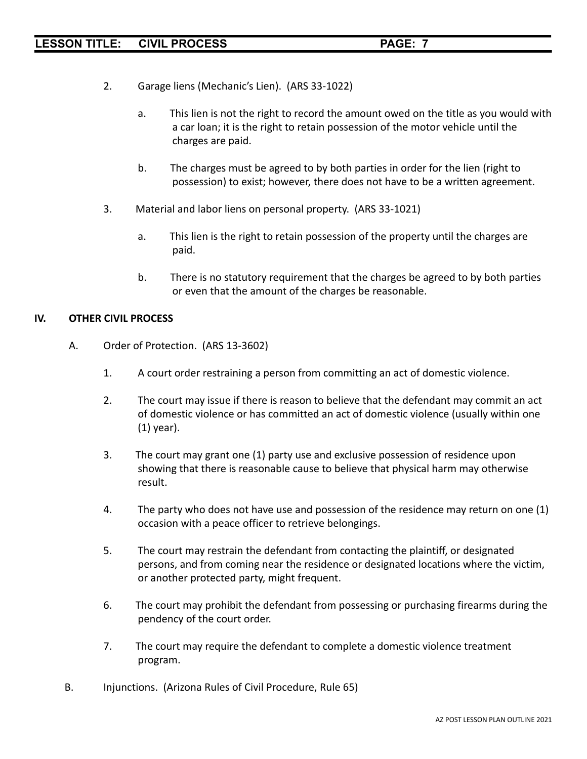- 2. Garage liens (Mechanic's Lien). (ARS 33-1022)
	- a. This lien is not the right to record the amount owed on the title as you would with a car loan; it is the right to retain possession of the motor vehicle until the charges are paid.
	- b. The charges must be agreed to by both parties in order for the lien (right to possession) to exist; however, there does not have to be a written agreement.
- 3. Material and labor liens on personal property. (ARS 33-1021)
	- a. This lien is the right to retain possession of the property until the charges are paid.
	- b. There is no statutory requirement that the charges be agreed to by both parties or even that the amount of the charges be reasonable.

## **IV. OTHER CIVIL PROCESS**

- A. Order of Protection. (ARS 13-3602)
	- 1. A court order restraining a person from committing an act of domestic violence.
	- 2. The court may issue if there is reason to believe that the defendant may commit an act of domestic violence or has committed an act of domestic violence (usually within one (1) year).
	- 3. The court may grant one (1) party use and exclusive possession of residence upon showing that there is reasonable cause to believe that physical harm may otherwise result.
	- 4. The party who does not have use and possession of the residence may return on one (1) occasion with a peace officer to retrieve belongings.
	- 5. The court may restrain the defendant from contacting the plaintiff, or designated persons, and from coming near the residence or designated locations where the victim, or another protected party, might frequent.
	- 6. The court may prohibit the defendant from possessing or purchasing firearms during the pendency of the court order.
	- 7. The court may require the defendant to complete a domestic violence treatment program.
- B. Injunctions. (Arizona Rules of Civil Procedure, Rule 65)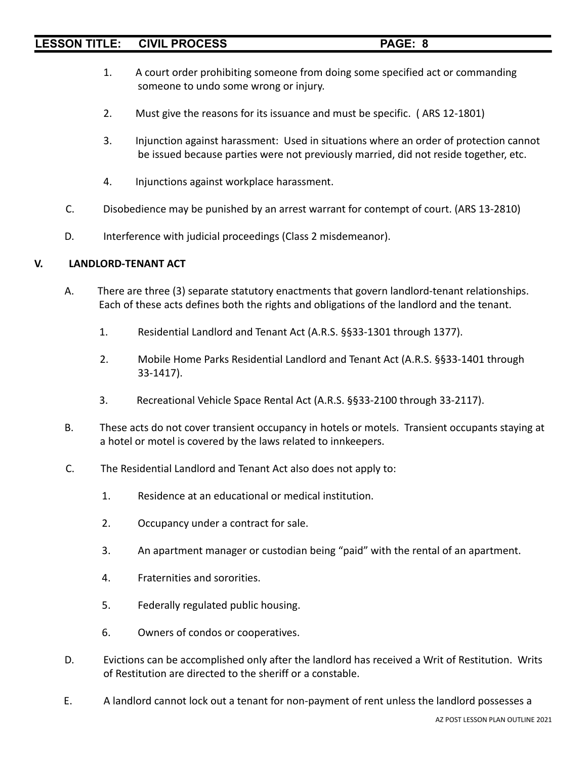- 1. A court order prohibiting someone from doing some specified act or commanding someone to undo some wrong or injury.
- 2. Must give the reasons for its issuance and must be specific. ( ARS 12-1801)
- 3. Injunction against harassment: Used in situations where an order of protection cannot be issued because parties were not previously married, did not reside together, etc.
- 4. Injunctions against workplace harassment.
- C. Disobedience may be punished by an arrest warrant for contempt of court. (ARS 13-2810)
- D. Interference with judicial proceedings (Class 2 misdemeanor).

## **V. LANDLORD-TENANT ACT**

- A. There are three (3) separate statutory enactments that govern landlord-tenant relationships. Each of these acts defines both the rights and obligations of the landlord and the tenant.
	- 1. Residential Landlord and Tenant Act (A.R.S. §§33-1301 through 1377).
	- 2. Mobile Home Parks Residential Landlord and Tenant Act (A.R.S. §§33-1401 through 33-1417).
	- 3. Recreational Vehicle Space Rental Act (A.R.S. §§33-2100 through 33-2117).
- B. These acts do not cover transient occupancy in hotels or motels. Transient occupants staying at a hotel or motel is covered by the laws related to innkeepers.
- C. The Residential Landlord and Tenant Act also does not apply to:
	- 1. Residence at an educational or medical institution.
	- 2. Occupancy under a contract for sale.
	- 3. An apartment manager or custodian being "paid" with the rental of an apartment.
	- 4. Fraternities and sororities.
	- 5. Federally regulated public housing.
	- 6. Owners of condos or cooperatives.
- D. Evictions can be accomplished only after the landlord has received a Writ of Restitution. Writs of Restitution are directed to the sheriff or a constable.
- E. A landlord cannot lock out a tenant for non-payment of rent unless the landlord possesses a